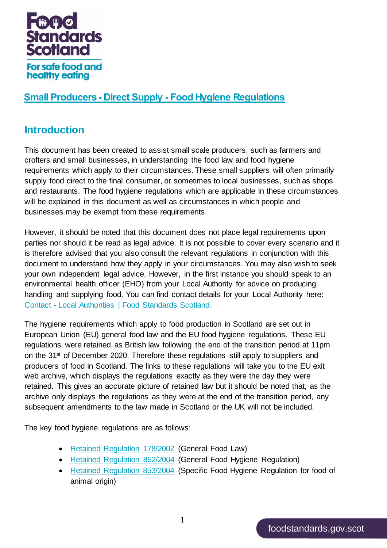

## **Small Producers- Direct Supply - Food Hygiene Regulations**

# **Introduction**

This document has been created to assist small scale producers, such as farmers and crofters and small businesses, in understanding the food law and food hygiene requirements which apply to their circumstances. These small suppliers will often primarily supply food direct to the final consumer, or sometimes to local businesses, such as shops and restaurants. The food hygiene regulations which are applicable in these circumstances will be explained in this document as well as circumstances in which people and businesses may be exempt from these requirements.

However, it should be noted that this document does not place legal requirements upon parties nor should it be read as legal advice. It is not possible to cover every scenario and it is therefore advised that you also consult the relevant regulations in conjunction with this document to understand how they apply in your circumstances. You may also wish to seek your own independent legal advice. However, in the first instance you should speak to an environmental health officer (EHO) from your Local Authority for advice on producing, handling and supplying food. You can find contact details for your Local Authority here: Contact - [Local Authorities | Food Standards Scotland.](https://www.foodstandards.gov.scot/contact-us/local-authorities)

The hygiene requirements which apply to food production in Scotland are set out in European Union (EU) general food law and the EU food hygiene regulations. These EU regulations were retained as British law following the end of the transition period at 11pm on the 31<sup>st</sup> of December 2020. Therefore these regulations still apply to suppliers and producers of food in Scotland. The links to these regulations will take you to the EU exit web archive, which displays the regulations exactly as they were the day they were retained. This gives an accurate picture of retained law but it should be noted that, as the archive only displays the regulations as they were at the end of the transition period, any subsequent amendments to the law made in Scotland or the UK will not be included.

The key food hygiene regulations are as follows:

- [Retained Regulation 178/2002](https://webarchive.nationalarchives.gov.uk/eu-exit/20201230150429/https:/eur-lex.europa.eu/legal-content/EN/TXT/?uri=CELEX:02002R0178-20060428) (General Food Law)
- [Retained Regulation 852/2004](https://webarchive.nationalarchives.gov.uk/eu-exit/20200114115203/https:/eur-lex.europa.eu/legal-content/EN/TXT/?uri=CELEX:02004R0852-20090420) (General Food Hygiene Regulation)
- [Retained Regulation 853/2004](https://webarchive.nationalarchives.gov.uk/eu-exit/20201230153330/https:/eur-lex.europa.eu/legal-content/EN/TXT/?uri=CELEX:02004R0853-20070101) (Specific Food Hygiene Regulation for food of animal origin)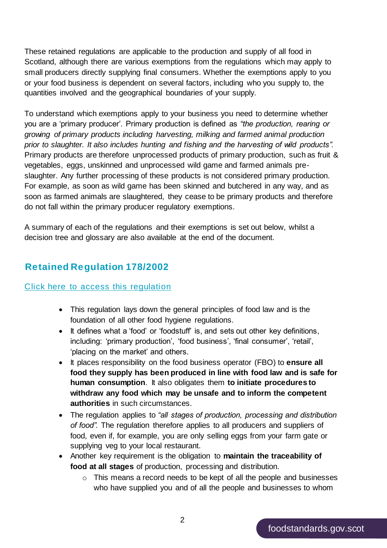These retained regulations are applicable to the production and supply of all food in Scotland, although there are various exemptions from the regulations which may apply to small producers directly supplying final consumers. Whether the exemptions apply to you or your food business is dependent on several factors, including who you supply to, the quantities involved and the geographical boundaries of your supply.

To understand which exemptions apply to your business you need to determine whether you are a 'primary producer'. Primary production is defined as *"the production, rearing or growing of primary products including harvesting, milking and farmed animal production prior to slaughter. It also includes hunting and fishing and the harvesting of wild products".*  Primary products are therefore unprocessed products of primary production, such as fruit & vegetables, eggs, unskinned and unprocessed wild game and farmed animals preslaughter. Any further processing of these products is not considered primary production. For example, as soon as wild game has been skinned and butchered in any way, and as soon as farmed animals are slaughtered, they cease to be primary products and therefore do not fall within the primary producer regulatory exemptions.

A summary of each of the regulations and their exemptions is set out below, whilst a decision tree and glossary are also available at the end of the document.

### **Retained Regulation 178/2002**

#### [Click here to access this regulation](https://webarchive.nationalarchives.gov.uk/eu-exit/20201230150429tf_/https:/eur-lex.europa.eu/legal-content/EN/TXT/?uri=CELEX:02002R0178-20060428)

- This regulation lays down the general principles of food law and is the foundation of all other food hygiene regulations.
- It defines what a 'food' or 'foodstuff' is, and sets out other key definitions, including: 'primary production', 'food business', 'final consumer', 'retail', 'placing on the market' and others.
- It places responsibility on the food business operator (FBO) to **ensure all food they supply has been produced in line with food law and is safe for human consumption**. It also obligates them **to initiate procedures to withdraw any food which may be unsafe and to inform the competent authorities** in such circumstances.
- The regulation applies to *"all stages of production, processing and distribution of food".* The regulation therefore applies to all producers and suppliers of food, even if, for example, you are only selling eggs from your farm gate or supplying veg to your local restaurant.
- Another key requirement is the obligation to **maintain the traceability of food at all stages** of production, processing and distribution.
	- o This means a record needs to be kept of all the people and businesses who have supplied you and of all the people and businesses to whom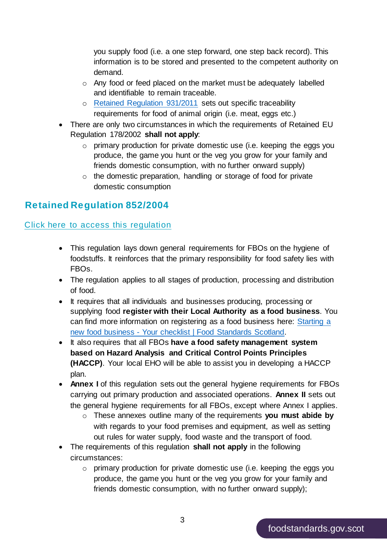you supply food (i.e. a one step forward, one step back record). This information is to be stored and presented to the competent authority on demand.

- o Any food or feed placed on the market must be adequately labelled and identifiable to remain traceable.
- o [Retained Regulation 931/2011](https://webarchive.nationalarchives.gov.uk/eu-exit/20201224235402/https:/eur-lex.europa.eu/legal-content/EN/TXT/?uri=CELEX:32011R0931) sets out specific traceability requirements for food of animal origin (i.e. meat, eggs etc.)
- There are only two circumstances in which the requirements of Retained EU Regulation 178/2002 **shall not apply**:
	- o primary production for private domestic use (i.e. keeping the eggs you produce, the game you hunt or the veg you grow for your family and friends domestic consumption, with no further onward supply)
	- o the domestic preparation, handling or storage of food for private domestic consumption

### **Retained Regulation 852/2004**

#### [Click here to access this regulation](https://webarchive.nationalarchives.gov.uk/eu-exit/20200114115203tf_/https:/eur-lex.europa.eu/legal-content/EN/TXT/?uri=CELEX:02004R0852-20090420)

- This regulation lays down general requirements for FBOs on the hygiene of foodstuffs. It reinforces that the primary responsibility for food safety lies with FBOs.
- The regulation applies to all stages of production, processing and distribution of food.
- It requires that all individuals and businesses producing, processing or supplying food **register with their Local Authority as a food business**. You can find more information on registering as a food business here: Starting a new food business - [Your checklist | Food Standards Scotland.](https://www.foodstandards.gov.scot/business-and-industry/advice-for-new-businesses)
- $\bullet$  It also requires that all FBOs have a food safety management system **based on Hazard Analysis and Critical Control Points Principles (HACCP)**. Your local EHO will be able to assist you in developing a HACCP plan.
- **Annex I** of this regulation sets out the general hygiene requirements for FBOs carrying out primary production and associated operations. **Annex II** sets out the general hygiene requirements for all FBOs, except where Annex I applies.
	- o These annexes outline many of the requirements **you must abide by** with regards to your food premises and equipment, as well as setting out rules for water supply, food waste and the transport of food.
- The requirements of this regulation **shall not apply** in the following circumstances:
	- $\circ$  primary production for private domestic use (i.e. keeping the eggs you produce, the game you hunt or the veg you grow for your family and friends domestic consumption, with no further onward supply);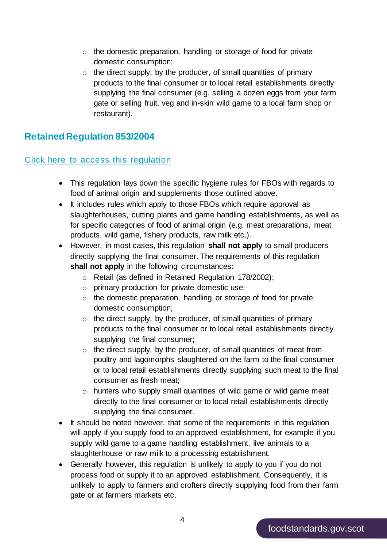- o the domestic preparation, handling or storage of food for private domestic consumption;
- $\circ$  the direct supply, by the producer, of small quantities of primary products to the final consumer or to local retail establishments directly supplying the final consumer (e.g. selling a dozen eggs from your farm gate or selling fruit, veg and in-skin wild game to a local farm shop or restaurant).

### **Retained Regulation 853/2004**

#### [Click here to access this regulation](https://webarchive.nationalarchives.gov.uk/eu-exit/20201230153330/https:/eur-lex.europa.eu/legal-content/EN/TXT/?uri=CELEX:02004R0853-20070101)

- This regulation lays down the specific hygiene rules for FBOs with regards to food of animal origin and supplements those outlined above.
- It includes rules which apply to those FBOs which require approval as slaughterhouses, cutting plants and game handling establishments, as well as for specific categories of food of animal origin (e.g. meat preparations, meat products, wild game, fishery products, raw milk etc.).
- However, in most cases, this regulation **shall not apply** to small producers directly supplying the final consumer. The requirements of this regulation **shall not apply** in the following circumstances:
	- o Retail (as defined in Retained Regulation 178/2002);
	- o primary production for private domestic use;
	- o the domestic preparation, handling or storage of food for private domestic consumption;
	- $\circ$  the direct supply, by the producer, of small quantities of primary products to the final consumer or to local retail establishments directly supplying the final consumer;
	- $\circ$  the direct supply, by the producer, of small quantities of meat from poultry and lagomorphs slaughtered on the farm to the final consumer or to local retail establishments directly supplying such meat to the final consumer as fresh meat;
	- $\circ$  hunters who supply small quantities of wild game or wild game meat directly to the final consumer or to local retail establishments directly supplying the final consumer.
- It should be noted however, that some of the requirements in this regulation will apply if you supply food to an approved establishment, for example if you supply wild game to a game handling establishment, live animals to a slaughterhouse or raw milk to a processing establishment.
- Generally however, this regulation is unlikely to apply to you if you do not process food or supply it to an approved establishment. Consequently, it is unlikely to apply to farmers and crofters directly supplying food from their farm gate or at farmers markets etc.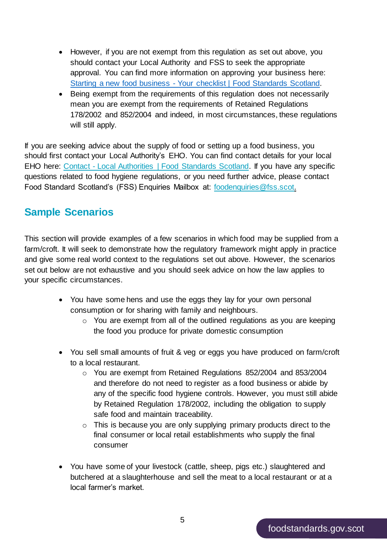- However, if you are not exempt from this regulation as set out above, you should contact your Local Authority and FSS to seek the appropriate approval. You can find more information on approving your business here: Starting a new food business - [Your checklist | Food Standards Scotland.](https://www.foodstandards.gov.scot/business-and-industry/advice-for-new-businesses)
- Being exempt from the requirements of this regulation does not necessarily mean you are exempt from the requirements of Retained Regulations 178/2002 and 852/2004 and indeed, in most circumstances, these regulations will still apply.

If you are seeking advice about the supply of food or setting up a food business, you should first contact your Local Authority's EHO. You can find contact details for your local EHO here: Contact - [Local Authorities | Food Standards Scotland.](https://www.foodstandards.gov.scot/contact-us/local-authorities) If you have any specific questions related to food hygiene regulations, or you need further advice, please contact Food Standard Scotland's (FSS) Enquiries Mailbox at: [foodenquiries@fss.scot.](mailto:foodenquiries@fss.scot)

# **Sample Scenarios**

This section will provide examples of a few scenarios in which food may be supplied from a farm/croft. It will seek to demonstrate how the regulatory framework might apply in practice and give some real world context to the regulations set out above. However, the scenarios set out below are not exhaustive and you should seek advice on how the law applies to your specific circumstances.

- You have some hens and use the eggs they lay for your own personal consumption or for sharing with family and neighbours.
	- $\circ$  You are exempt from all of the outlined regulations as you are keeping the food you produce for private domestic consumption
- You sell small amounts of fruit & veg or eggs you have produced on farm/croft to a local restaurant.
	- o You are exempt from Retained Regulations 852/2004 and 853/2004 and therefore do not need to register as a food business or abide by any of the specific food hygiene controls. However, you must still abide by Retained Regulation 178/2002, including the obligation to supply safe food and maintain traceability.
	- $\circ$  This is because you are only supplying primary products direct to the final consumer or local retail establishments who supply the final consumer
- You have some of your livestock (cattle, sheep, pigs etc.) slaughtered and butchered at a slaughterhouse and sell the meat to a local restaurant or at a local farmer's market.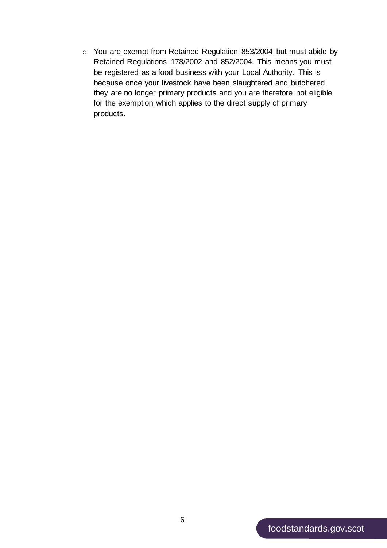o You are exempt from Retained Regulation 853/2004 but must abide by Retained Regulations 178/2002 and 852/2004. This means you must be registered as a food business with your Local Authority. This is because once your livestock have been slaughtered and butchered they are no longer primary products and you are therefore not eligible for the exemption which applies to the direct supply of primary products.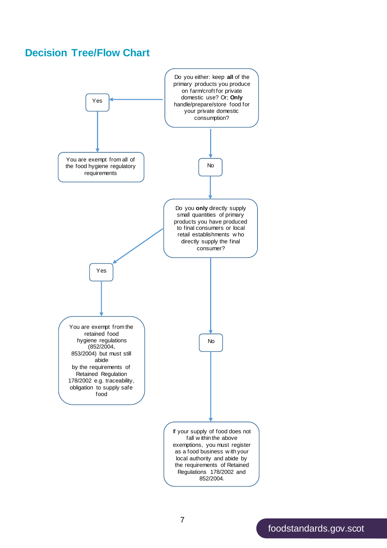## **Decision Tree/Flow Chart**

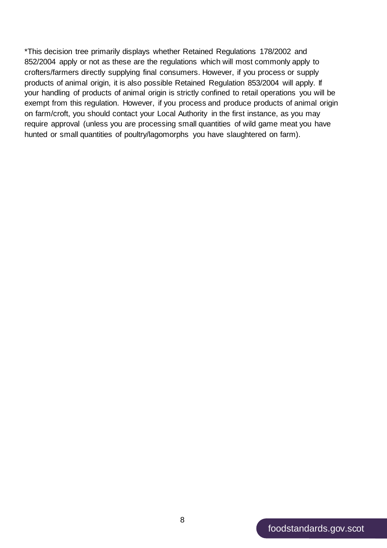\*This decision tree primarily displays whether Retained Regulations 178/2002 and 852/2004 apply or not as these are the regulations which will most commonly apply to crofters/farmers directly supplying final consumers. However, if you process or supply products of animal origin, it is also possible Retained Regulation 853/2004 will apply. If your handling of products of animal origin is strictly confined to retail operations you will be exempt from this regulation. However, if you process and produce products of animal origin on farm/croft, you should contact your Local Authority in the first instance, as you may require approval (unless you are processing small quantities of wild game meat you have hunted or small quantities of poultry/lagomorphs you have slaughtered on farm).